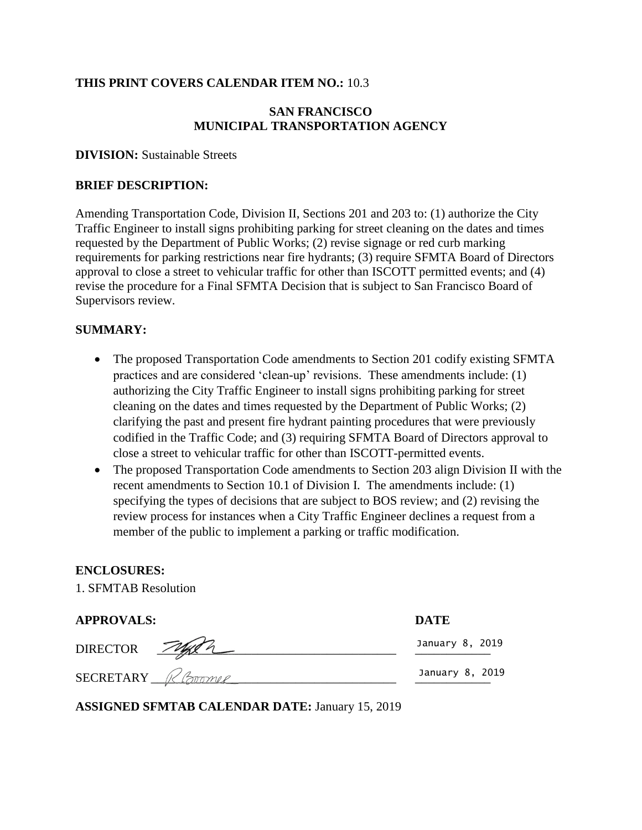### **THIS PRINT COVERS CALENDAR ITEM NO.:** 10.3

### **SAN FRANCISCO MUNICIPAL TRANSPORTATION AGENCY**

#### **DIVISION:** Sustainable Streets

#### **BRIEF DESCRIPTION:**

Amending Transportation Code, Division II, Sections 201 and 203 to: (1) authorize the City Traffic Engineer to install signs prohibiting parking for street cleaning on the dates and times requested by the Department of Public Works; (2) revise signage or red curb marking requirements for parking restrictions near fire hydrants; (3) require SFMTA Board of Directors approval to close a street to vehicular traffic for other than ISCOTT permitted events; and (4) revise the procedure for a Final SFMTA Decision that is subject to San Francisco Board of Supervisors review.

### **SUMMARY:**

- The proposed Transportation Code amendments to Section 201 codify existing SFMTA practices and are considered 'clean-up' revisions. These amendments include: (1) authorizing the City Traffic Engineer to install signs prohibiting parking for street cleaning on the dates and times requested by the Department of Public Works; (2) clarifying the past and present fire hydrant painting procedures that were previously codified in the Traffic Code; and (3) requiring SFMTA Board of Directors approval to close a street to vehicular traffic for other than ISCOTT-permitted events.
- The proposed Transportation Code amendments to Section 203 align Division II with the recent amendments to Section 10.1 of Division I. The amendments include: (1) specifying the types of decisions that are subject to BOS review; and (2) revising the review process for instances when a City Traffic Engineer declines a request from a member of the public to implement a parking or traffic modification.

### **ENCLOSURES:**

1. SFMTAB Resolution

| <b>APPROVALS:</b> | <b>DATE</b>     |
|-------------------|-----------------|
| DIRECTOR FURER    | January 8, 2019 |
| SECRETARY Roomer  | January 8, 2019 |

**ASSIGNED SFMTAB CALENDAR DATE:** January 15, 2019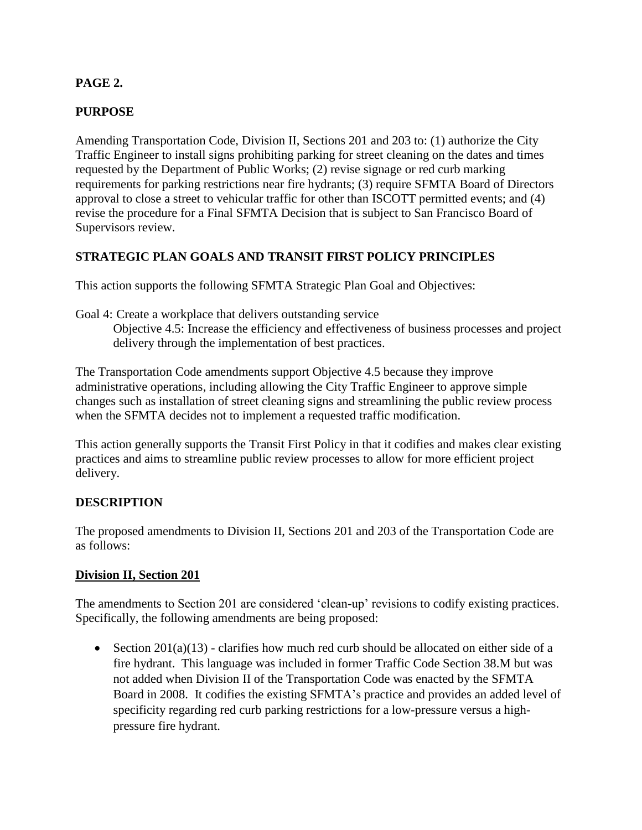# **PAGE 2.**

# **PURPOSE**

Amending Transportation Code, Division II, Sections 201 and 203 to: (1) authorize the City Traffic Engineer to install signs prohibiting parking for street cleaning on the dates and times requested by the Department of Public Works; (2) revise signage or red curb marking requirements for parking restrictions near fire hydrants; (3) require SFMTA Board of Directors approval to close a street to vehicular traffic for other than ISCOTT permitted events; and (4) revise the procedure for a Final SFMTA Decision that is subject to San Francisco Board of Supervisors review.

# **STRATEGIC PLAN GOALS AND TRANSIT FIRST POLICY PRINCIPLES**

This action supports the following SFMTA Strategic Plan Goal and Objectives:

Goal 4: Create a workplace that delivers outstanding service

Objective 4.5: Increase the efficiency and effectiveness of business processes and project delivery through the implementation of best practices.

The Transportation Code amendments support Objective 4.5 because they improve administrative operations, including allowing the City Traffic Engineer to approve simple changes such as installation of street cleaning signs and streamlining the public review process when the SFMTA decides not to implement a requested traffic modification.

This action generally supports the Transit First Policy in that it codifies and makes clear existing practices and aims to streamline public review processes to allow for more efficient project delivery.

# **DESCRIPTION**

The proposed amendments to Division II, Sections 201 and 203 of the Transportation Code are as follows:

# **Division II, Section 201**

The amendments to Section 201 are considered 'clean-up' revisions to codify existing practices. Specifically, the following amendments are being proposed:

Section  $201(a)(13)$  - clarifies how much red curb should be allocated on either side of a fire hydrant. This language was included in former Traffic Code Section 38.M but was not added when Division II of the Transportation Code was enacted by the SFMTA Board in 2008. It codifies the existing SFMTA's practice and provides an added level of specificity regarding red curb parking restrictions for a low-pressure versus a highpressure fire hydrant.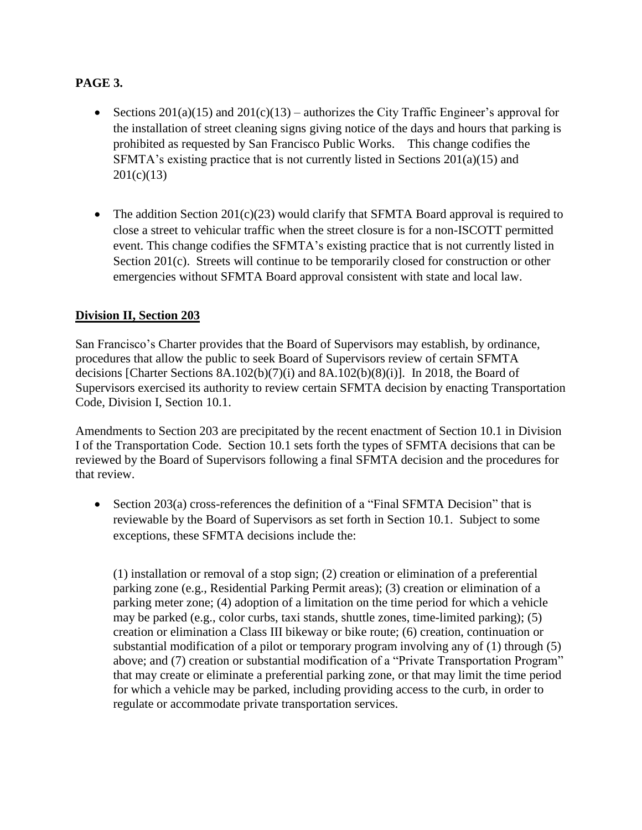# **PAGE 3.**

- Sections  $201(a)(15)$  and  $201(c)(13)$  authorizes the City Traffic Engineer's approval for the installation of street cleaning signs giving notice of the days and hours that parking is prohibited as requested by San Francisco Public Works. This change codifies the SFMTA's existing practice that is not currently listed in Sections 201(a)(15) and  $201(c)(13)$
- The addition Section  $201(c)(23)$  would clarify that SFMTA Board approval is required to close a street to vehicular traffic when the street closure is for a non-ISCOTT permitted event. This change codifies the SFMTA's existing practice that is not currently listed in Section 201(c). Streets will continue to be temporarily closed for construction or other emergencies without SFMTA Board approval consistent with state and local law.

# **Division II, Section 203**

San Francisco's Charter provides that the Board of Supervisors may establish, by ordinance, procedures that allow the public to seek Board of Supervisors review of certain SFMTA decisions [Charter Sections  $8A.102(b)(7)(i)$  and  $8A.102(b)(8)(i)$ ]. In 2018, the Board of Supervisors exercised its authority to review certain SFMTA decision by enacting Transportation Code, Division I, Section 10.1.

Amendments to Section 203 are precipitated by the recent enactment of Section 10.1 in Division I of the Transportation Code. Section 10.1 sets forth the types of SFMTA decisions that can be reviewed by the Board of Supervisors following a final SFMTA decision and the procedures for that review.

Section 203(a) cross-references the definition of a "Final SFMTA Decision" that is reviewable by the Board of Supervisors as set forth in Section 10.1. Subject to some exceptions, these SFMTA decisions include the:

(1) installation or removal of a stop sign; (2) creation or elimination of a preferential parking zone (e.g., Residential Parking Permit areas); (3) creation or elimination of a parking meter zone; (4) adoption of a limitation on the time period for which a vehicle may be parked (e.g., color curbs, taxi stands, shuttle zones, time-limited parking); (5) creation or elimination a Class III bikeway or bike route; (6) creation, continuation or substantial modification of a pilot or temporary program involving any of (1) through (5) above; and (7) creation or substantial modification of a "Private Transportation Program" that may create or eliminate a preferential parking zone, or that may limit the time period for which a vehicle may be parked, including providing access to the curb, in order to regulate or accommodate private transportation services.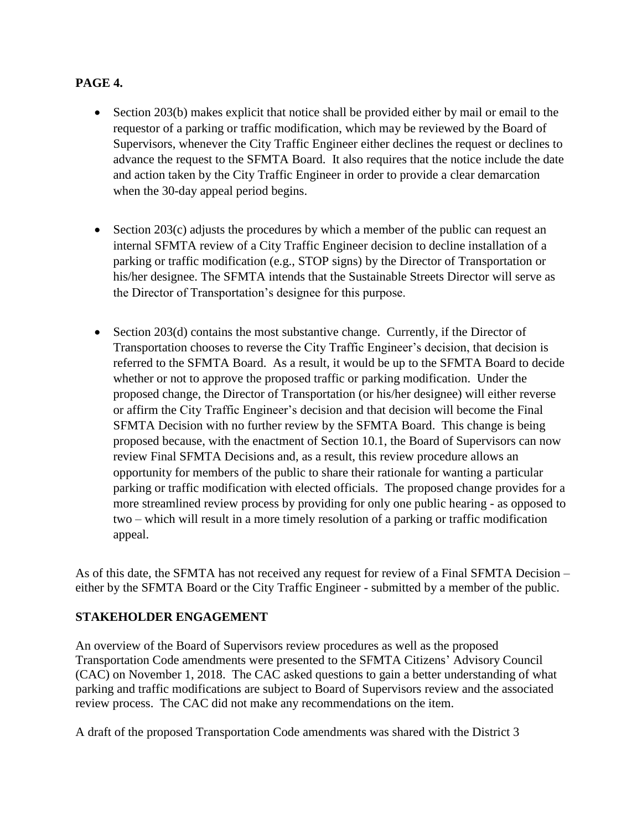# **PAGE 4.**

- Section 203(b) makes explicit that notice shall be provided either by mail or email to the requestor of a parking or traffic modification, which may be reviewed by the Board of Supervisors, whenever the City Traffic Engineer either declines the request or declines to advance the request to the SFMTA Board. It also requires that the notice include the date and action taken by the City Traffic Engineer in order to provide a clear demarcation when the 30-day appeal period begins.
- Section 203(c) adjusts the procedures by which a member of the public can request an internal SFMTA review of a City Traffic Engineer decision to decline installation of a parking or traffic modification (e.g., STOP signs) by the Director of Transportation or his/her designee. The SFMTA intends that the Sustainable Streets Director will serve as the Director of Transportation's designee for this purpose.
- $\bullet$  Section 203(d) contains the most substantive change. Currently, if the Director of Transportation chooses to reverse the City Traffic Engineer's decision, that decision is referred to the SFMTA Board. As a result, it would be up to the SFMTA Board to decide whether or not to approve the proposed traffic or parking modification. Under the proposed change, the Director of Transportation (or his/her designee) will either reverse or affirm the City Traffic Engineer's decision and that decision will become the Final SFMTA Decision with no further review by the SFMTA Board. This change is being proposed because, with the enactment of Section 10.1, the Board of Supervisors can now review Final SFMTA Decisions and, as a result, this review procedure allows an opportunity for members of the public to share their rationale for wanting a particular parking or traffic modification with elected officials. The proposed change provides for a more streamlined review process by providing for only one public hearing - as opposed to two – which will result in a more timely resolution of a parking or traffic modification appeal.

As of this date, the SFMTA has not received any request for review of a Final SFMTA Decision – either by the SFMTA Board or the City Traffic Engineer - submitted by a member of the public.

# **STAKEHOLDER ENGAGEMENT**

An overview of the Board of Supervisors review procedures as well as the proposed Transportation Code amendments were presented to the SFMTA Citizens' Advisory Council (CAC) on November 1, 2018. The CAC asked questions to gain a better understanding of what parking and traffic modifications are subject to Board of Supervisors review and the associated review process. The CAC did not make any recommendations on the item.

A draft of the proposed Transportation Code amendments was shared with the District 3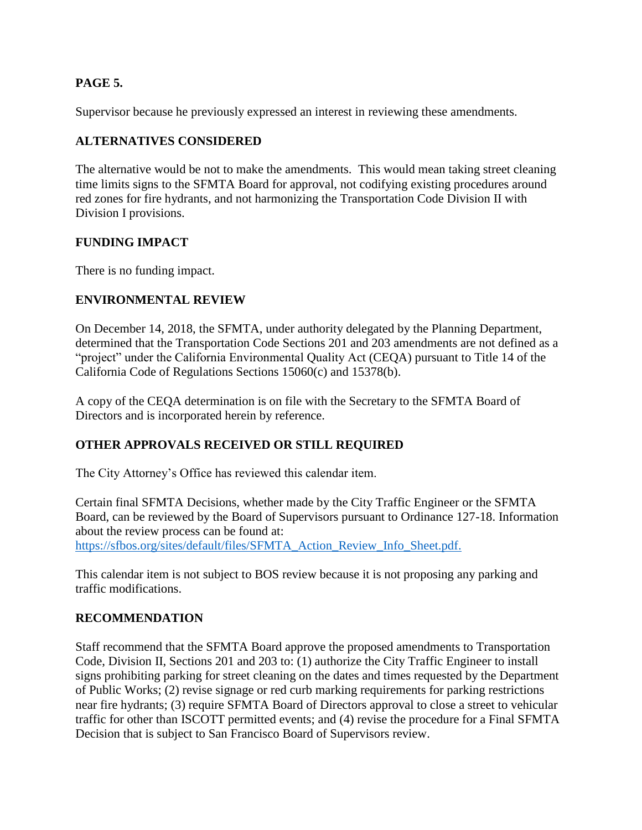# **PAGE 5.**

Supervisor because he previously expressed an interest in reviewing these amendments.

# **ALTERNATIVES CONSIDERED**

The alternative would be not to make the amendments. This would mean taking street cleaning time limits signs to the SFMTA Board for approval, not codifying existing procedures around red zones for fire hydrants, and not harmonizing the Transportation Code Division II with Division I provisions.

# **FUNDING IMPACT**

There is no funding impact.

# **ENVIRONMENTAL REVIEW**

On December 14, 2018, the SFMTA, under authority delegated by the Planning Department, determined that the Transportation Code Sections 201 and 203 amendments are not defined as a "project" under the California Environmental Quality Act (CEQA) pursuant to Title 14 of the California Code of Regulations Sections 15060(c) and 15378(b).

A copy of the CEQA determination is on file with the Secretary to the SFMTA Board of Directors and is incorporated herein by reference.

# **OTHER APPROVALS RECEIVED OR STILL REQUIRED**

The City Attorney's Office has reviewed this calendar item.

Certain final SFMTA Decisions, whether made by the City Traffic Engineer or the SFMTA Board, can be reviewed by the Board of Supervisors pursuant to Ordinance 127-18. Information about the review process can be found at: [https://sfbos.org/sites/default/files/SFMTA\\_Action\\_Review\\_Info\\_Sheet.pdf.](https://sfbos.org/sites/default/files/SFMTA_Action_Review_Info_Sheet.pdf)

This calendar item is not subject to BOS review because it is not proposing any parking and traffic modifications.

# **RECOMMENDATION**

Staff recommend that the SFMTA Board approve the proposed amendments to Transportation Code, Division II, Sections 201 and 203 to: (1) authorize the City Traffic Engineer to install signs prohibiting parking for street cleaning on the dates and times requested by the Department of Public Works; (2) revise signage or red curb marking requirements for parking restrictions near fire hydrants; (3) require SFMTA Board of Directors approval to close a street to vehicular traffic for other than ISCOTT permitted events; and (4) revise the procedure for a Final SFMTA Decision that is subject to San Francisco Board of Supervisors review.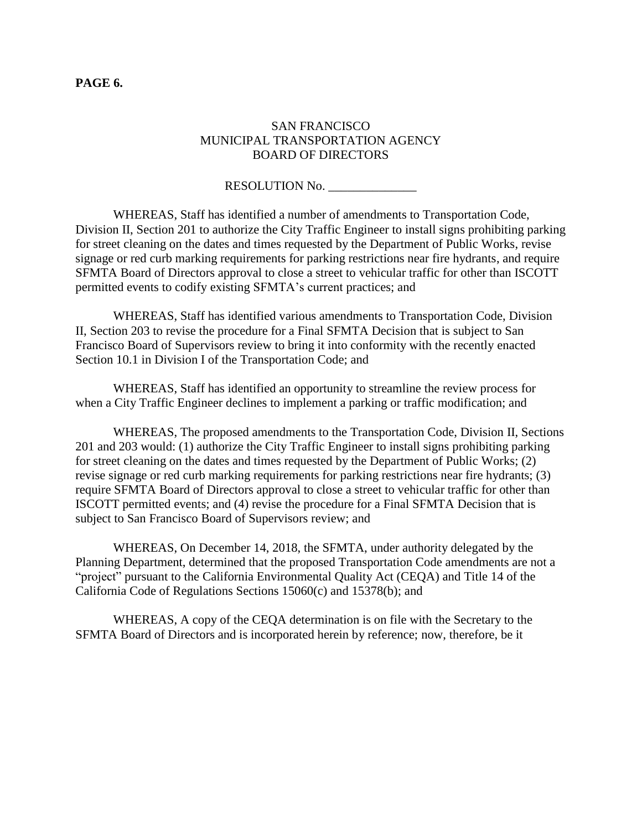# SAN FRANCISCO MUNICIPAL TRANSPORTATION AGENCY BOARD OF DIRECTORS

RESOLUTION No.

WHEREAS, Staff has identified a number of amendments to Transportation Code, Division II, Section 201 to authorize the City Traffic Engineer to install signs prohibiting parking for street cleaning on the dates and times requested by the Department of Public Works, revise signage or red curb marking requirements for parking restrictions near fire hydrants, and require SFMTA Board of Directors approval to close a street to vehicular traffic for other than ISCOTT permitted events to codify existing SFMTA's current practices; and

WHEREAS, Staff has identified various amendments to Transportation Code, Division II, Section 203 to revise the procedure for a Final SFMTA Decision that is subject to San Francisco Board of Supervisors review to bring it into conformity with the recently enacted Section 10.1 in Division I of the Transportation Code; and

WHEREAS, Staff has identified an opportunity to streamline the review process for when a City Traffic Engineer declines to implement a parking or traffic modification; and

WHEREAS, The proposed amendments to the Transportation Code, Division II, Sections 201 and 203 would: (1) authorize the City Traffic Engineer to install signs prohibiting parking for street cleaning on the dates and times requested by the Department of Public Works; (2) revise signage or red curb marking requirements for parking restrictions near fire hydrants; (3) require SFMTA Board of Directors approval to close a street to vehicular traffic for other than ISCOTT permitted events; and (4) revise the procedure for a Final SFMTA Decision that is subject to San Francisco Board of Supervisors review; and

WHEREAS, On December 14, 2018, the SFMTA, under authority delegated by the Planning Department, determined that the proposed Transportation Code amendments are not a "project" pursuant to the California Environmental Quality Act (CEQA) and Title 14 of the California Code of Regulations Sections 15060(c) and 15378(b); and

WHEREAS, A copy of the CEQA determination is on file with the Secretary to the SFMTA Board of Directors and is incorporated herein by reference; now, therefore, be it

#### **PAGE 6.**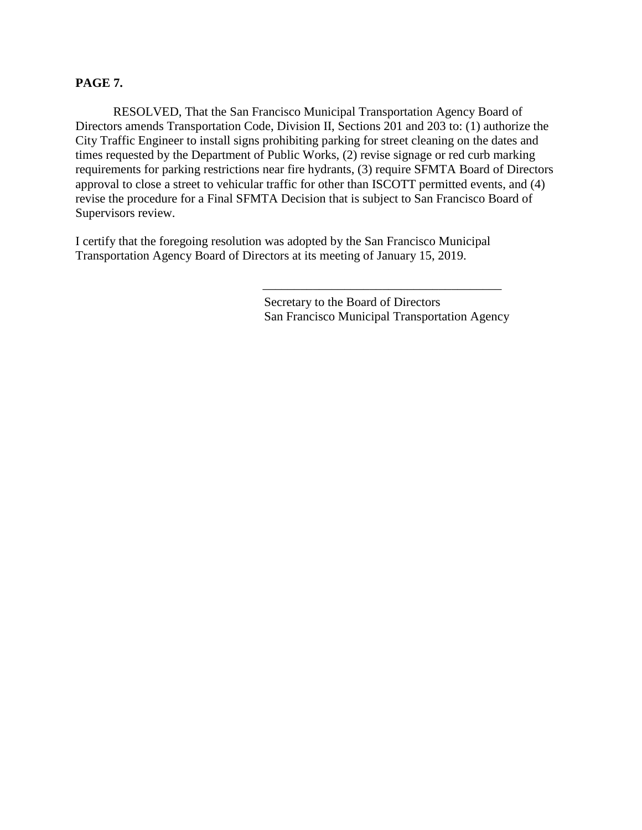### **PAGE 7.**

RESOLVED, That the San Francisco Municipal Transportation Agency Board of Directors amends Transportation Code, Division II, Sections 201 and 203 to: (1) authorize the City Traffic Engineer to install signs prohibiting parking for street cleaning on the dates and times requested by the Department of Public Works, (2) revise signage or red curb marking requirements for parking restrictions near fire hydrants, (3) require SFMTA Board of Directors approval to close a street to vehicular traffic for other than ISCOTT permitted events, and (4) revise the procedure for a Final SFMTA Decision that is subject to San Francisco Board of Supervisors review.

I certify that the foregoing resolution was adopted by the San Francisco Municipal Transportation Agency Board of Directors at its meeting of January 15, 2019.

> Secretary to the Board of Directors San Francisco Municipal Transportation Agency

\_\_\_\_\_\_\_\_\_\_\_\_\_\_\_\_\_\_\_\_\_\_\_\_\_\_\_\_\_\_\_\_\_\_\_\_\_\_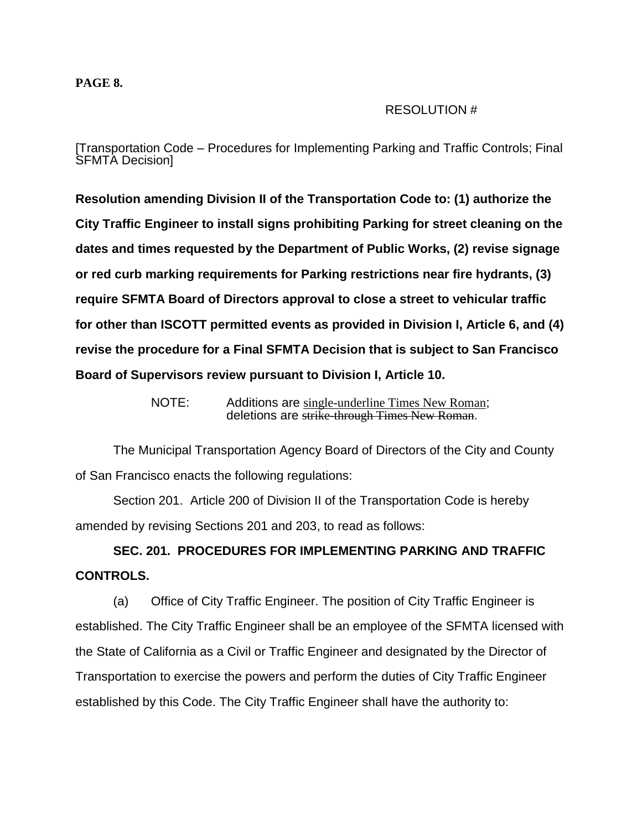#### **PAGE 8.**

### RESOLUTION #

[Transportation Code – Procedures for Implementing Parking and Traffic Controls; Final SFMTA Decision]

**Resolution amending Division II of the Transportation Code to: (1) authorize the City Traffic Engineer to install signs prohibiting Parking for street cleaning on the dates and times requested by the Department of Public Works, (2) revise signage or red curb marking requirements for Parking restrictions near fire hydrants, (3) require SFMTA Board of Directors approval to close a street to vehicular traffic for other than ISCOTT permitted events as provided in Division I, Article 6, and (4) revise the procedure for a Final SFMTA Decision that is subject to San Francisco Board of Supervisors review pursuant to Division I, Article 10.**

> NOTE: Additions are single-underline Times New Roman; deletions are strike-through Times New Roman.

The Municipal Transportation Agency Board of Directors of the City and County of San Francisco enacts the following regulations:

Section 201. Article 200 of Division II of the Transportation Code is hereby amended by revising Sections 201 and 203, to read as follows:

**SEC. 201. PROCEDURES FOR IMPLEMENTING PARKING AND TRAFFIC CONTROLS.**

(a) Office of City Traffic Engineer. The position of City Traffic Engineer is established. The City Traffic Engineer shall be an employee of the SFMTA licensed with the State of California as a Civil or Traffic Engineer and designated by the Director of Transportation to exercise the powers and perform the duties of City Traffic Engineer established by this Code. The City Traffic Engineer shall have the authority to: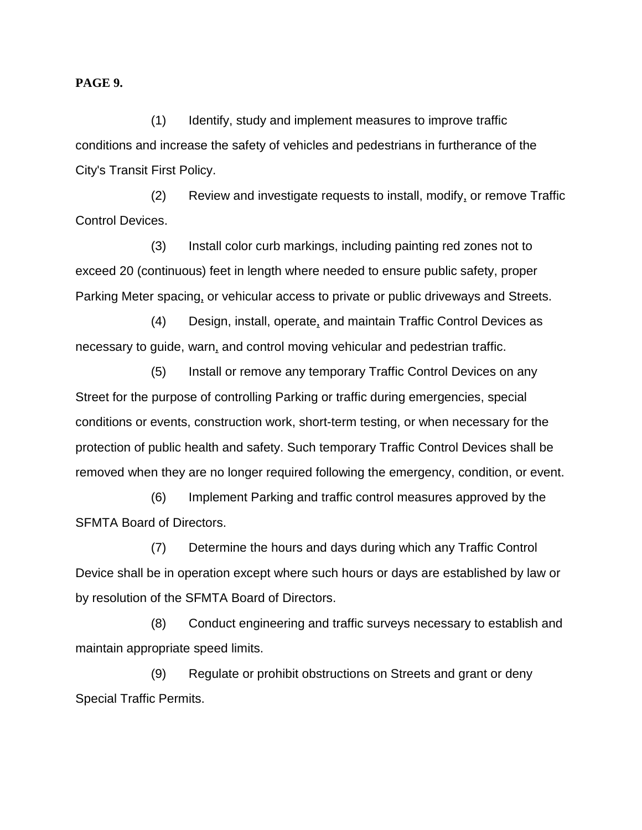#### **PAGE 9.**

(1) Identify, study and implement measures to improve traffic conditions and increase the safety of vehicles and pedestrians in furtherance of the City's Transit First Policy.

(2) Review and investigate requests to install, modify, or remove Traffic Control Devices.

(3) Install color curb markings, including painting red zones not to exceed 20 (continuous) feet in length where needed to ensure public safety, proper Parking Meter spacing, or vehicular access to private or public driveways and Streets.

(4) Design, install, operate, and maintain Traffic Control Devices as necessary to guide, warn, and control moving vehicular and pedestrian traffic.

(5) Install or remove any temporary Traffic Control Devices on any Street for the purpose of controlling Parking or traffic during emergencies, special conditions or events, construction work, short-term testing, or when necessary for the protection of public health and safety. Such temporary Traffic Control Devices shall be removed when they are no longer required following the emergency, condition, or event.

(6) Implement Parking and traffic control measures approved by the SFMTA Board of Directors.

(7) Determine the hours and days during which any Traffic Control Device shall be in operation except where such hours or days are established by law or by resolution of the SFMTA Board of Directors.

(8) Conduct engineering and traffic surveys necessary to establish and maintain appropriate speed limits.

(9) Regulate or prohibit obstructions on Streets and grant or deny Special Traffic Permits.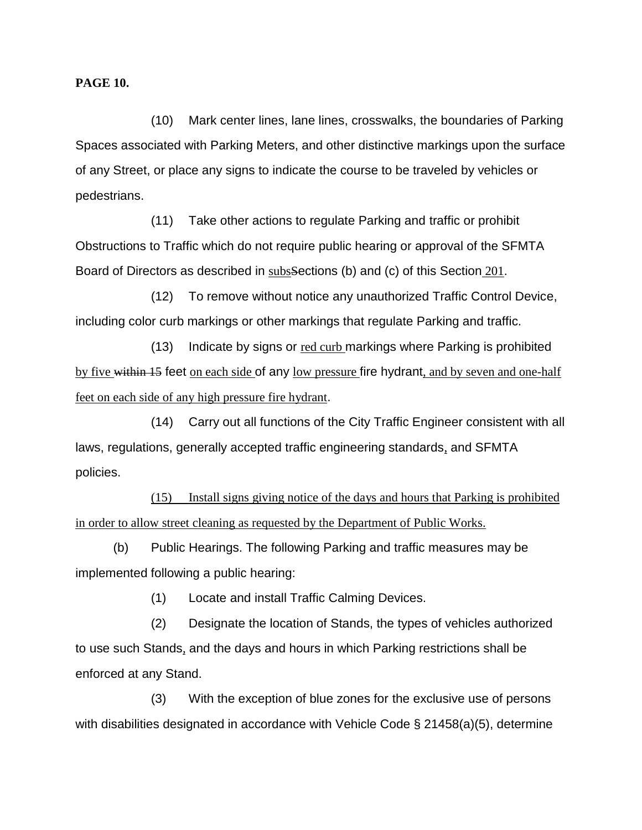**PAGE 10.**

(10) Mark center lines, lane lines, crosswalks, the boundaries of Parking Spaces associated with Parking Meters, and other distinctive markings upon the surface of any Street, or place any signs to indicate the course to be traveled by vehicles or pedestrians.

(11) Take other actions to regulate Parking and traffic or prohibit Obstructions to Traffic which do not require public hearing or approval of the SFMTA Board of Directors as described in subsSections (b) and (c) of this Section 201.

(12) To remove without notice any unauthorized Traffic Control Device, including color curb markings or other markings that regulate Parking and traffic.

(13) Indicate by signs or red curb markings where Parking is prohibited by five within 15 feet on each side of any low pressure fire hydrant, and by seven and one-half feet on each side of any high pressure fire hydrant.

(14) Carry out all functions of the City Traffic Engineer consistent with all laws, regulations, generally accepted traffic engineering standards, and SFMTA policies.

(15) Install signs giving notice of the days and hours that Parking is prohibited in order to allow street cleaning as requested by the Department of Public Works.

(b) Public Hearings. The following Parking and traffic measures may be implemented following a public hearing:

(1) Locate and install Traffic Calming Devices.

(2) Designate the location of Stands, the types of vehicles authorized to use such Stands, and the days and hours in which Parking restrictions shall be enforced at any Stand.

(3) With the exception of blue zones for the exclusive use of persons with disabilities designated in accordance with Vehicle Code § 21458(a)(5), determine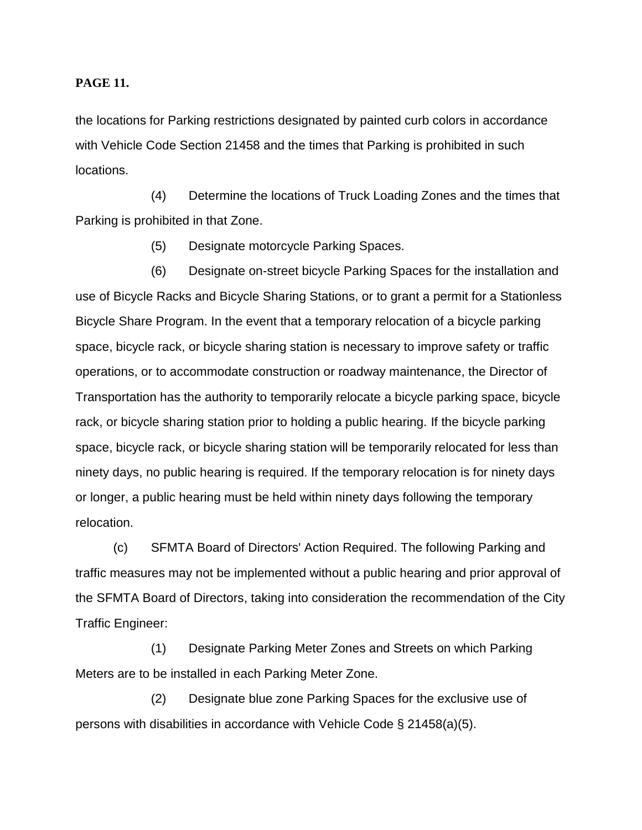#### **PAGE 11.**

the locations for Parking restrictions designated by painted curb colors in accordance with Vehicle Code Section 21458 and the times that Parking is prohibited in such locations.

(4) Determine the locations of Truck Loading Zones and the times that Parking is prohibited in that Zone.

(5) Designate motorcycle Parking Spaces.

(6) Designate on-street bicycle Parking Spaces for the installation and use of Bicycle Racks and Bicycle Sharing Stations, or to grant a permit for a Stationless Bicycle Share Program. In the event that a temporary relocation of a bicycle parking space, bicycle rack, or bicycle sharing station is necessary to improve safety or traffic operations, or to accommodate construction or roadway maintenance, the Director of Transportation has the authority to temporarily relocate a bicycle parking space, bicycle rack, or bicycle sharing station prior to holding a public hearing. If the bicycle parking space, bicycle rack, or bicycle sharing station will be temporarily relocated for less than ninety days, no public hearing is required. If the temporary relocation is for ninety days or longer, a public hearing must be held within ninety days following the temporary relocation.

(c) SFMTA Board of Directors' Action Required. The following Parking and traffic measures may not be implemented without a public hearing and prior approval of the SFMTA Board of Directors, taking into consideration the recommendation of the City Traffic Engineer:

(1) Designate Parking Meter Zones and Streets on which Parking Meters are to be installed in each Parking Meter Zone.

(2) Designate blue zone Parking Spaces for the exclusive use of persons with disabilities in accordance with Vehicle Code § 21458(a)(5).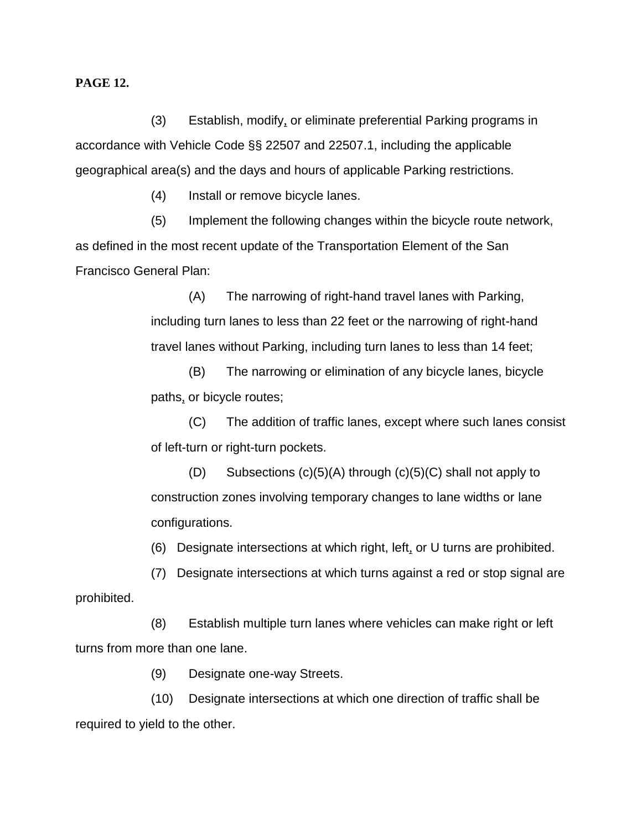#### **PAGE 12.**

(3) Establish, modify, or eliminate preferential Parking programs in accordance with Vehicle Code §§ 22507 and 22507.1, including the applicable geographical area(s) and the days and hours of applicable Parking restrictions.

(4) Install or remove bicycle lanes.

(5) Implement the following changes within the bicycle route network, as defined in the most recent update of the Transportation Element of the San Francisco General Plan:

> (A) The narrowing of right-hand travel lanes with Parking, including turn lanes to less than 22 feet or the narrowing of right-hand travel lanes without Parking, including turn lanes to less than 14 feet;

(B) The narrowing or elimination of any bicycle lanes, bicycle paths, or bicycle routes;

(C) The addition of traffic lanes, except where such lanes consist of left-turn or right-turn pockets.

(D) Subsections (c)(5)(A) through (c)(5)(C) shall not apply to construction zones involving temporary changes to lane widths or lane configurations.

(6) Designate intersections at which right, left*,* or U turns are prohibited.

(7) Designate intersections at which turns against a red or stop signal are prohibited.

(8) Establish multiple turn lanes where vehicles can make right or left turns from more than one lane.

(9) Designate one-way Streets.

(10) Designate intersections at which one direction of traffic shall be required to yield to the other.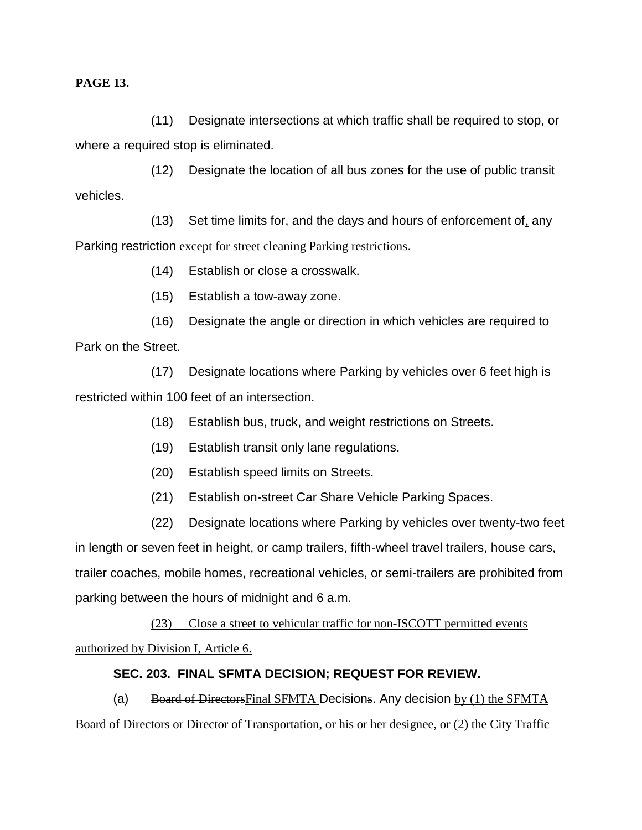**PAGE 13.**

(11) Designate intersections at which traffic shall be required to stop, or where a required stop is eliminated.

(12) Designate the location of all bus zones for the use of public transit vehicles.

(13) Set time limits for, and the days and hours of enforcement of, any Parking restriction except for street cleaning Parking restrictions.

(14) Establish or close a crosswalk.

(15) Establish a tow-away zone.

(16) Designate the angle or direction in which vehicles are required to Park on the Street.

(17) Designate locations where Parking by vehicles over 6 feet high is restricted within 100 feet of an intersection.

- (18) Establish bus, truck, and weight restrictions on Streets.
- (19) Establish transit only lane regulations.
- (20) Establish speed limits on Streets.
- (21) Establish on-street Car Share Vehicle Parking Spaces.
- (22) Designate locations where Parking by vehicles over twenty-two feet

in length or seven feet in height, or camp trailers, fifth-wheel travel trailers, house cars, trailer coaches, mobile homes, recreational vehicles, or semi-trailers are prohibited from parking between the hours of midnight and 6 a.m.

(23) Close a street to vehicular traffic for non-ISCOTT permitted events authorized by Division I, Article 6.

# **SEC. 203. FINAL SFMTA DECISION; REQUEST FOR REVIEW.**

(a) Board of Directors Final SFMTA Decisions. Any decision by  $(1)$  the SFMTA Board of Directors or Director of Transportation, or his or her designee, or (2) the City Traffic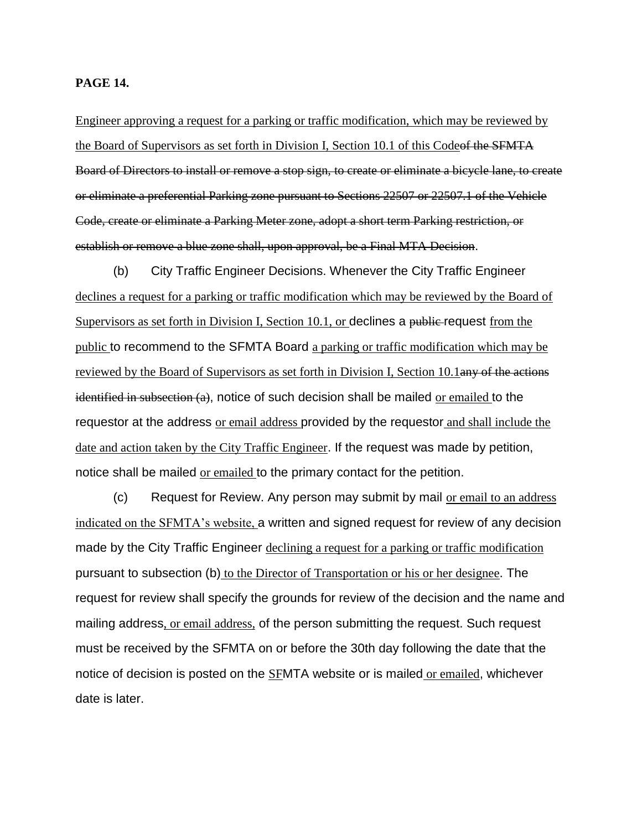#### **PAGE 14.**

Engineer approving a request for a parking or traffic modification, which may be reviewed by the Board of Supervisors as set forth in Division I, Section 10.1 of this Codeof the SFMTA Board of Directors to install or remove a stop sign, to create or eliminate a bicycle lane, to create or eliminate a preferential Parking zone pursuant to Sections 22507 or 22507.1 of the Vehicle Code, create or eliminate a Parking Meter zone, adopt a short term Parking restriction, or establish or remove a blue zone shall, upon approval, be a Final MTA Decision.

(b) City Traffic Engineer Decisions. Whenever the City Traffic Engineer declines a request for a parking or traffic modification which may be reviewed by the Board of Supervisors as set forth in Division I, Section 10.1, or declines a public request from the public to recommend to the SFMTA Board a parking or traffic modification which may be reviewed by the Board of Supervisors as set forth in Division I, Section 10.1any of the actions identified in subsection  $(a)$ , notice of such decision shall be mailed or emailed to the requestor at the address or email address provided by the requestor and shall include the date and action taken by the City Traffic Engineer. If the request was made by petition, notice shall be mailed or emailed to the primary contact for the petition.

(c) Request for Review. Any person may submit by mail or email to an address indicated on the SFMTA's website, a written and signed request for review of any decision made by the City Traffic Engineer declining a request for a parking or traffic modification pursuant to subsection (b) to the Director of Transportation or his or her designee. The request for review shall specify the grounds for review of the decision and the name and mailing address, or email address, of the person submitting the request. Such request must be received by the SFMTA on or before the 30th day following the date that the notice of decision is posted on the SFMTA website or is mailed or emailed, whichever date is later.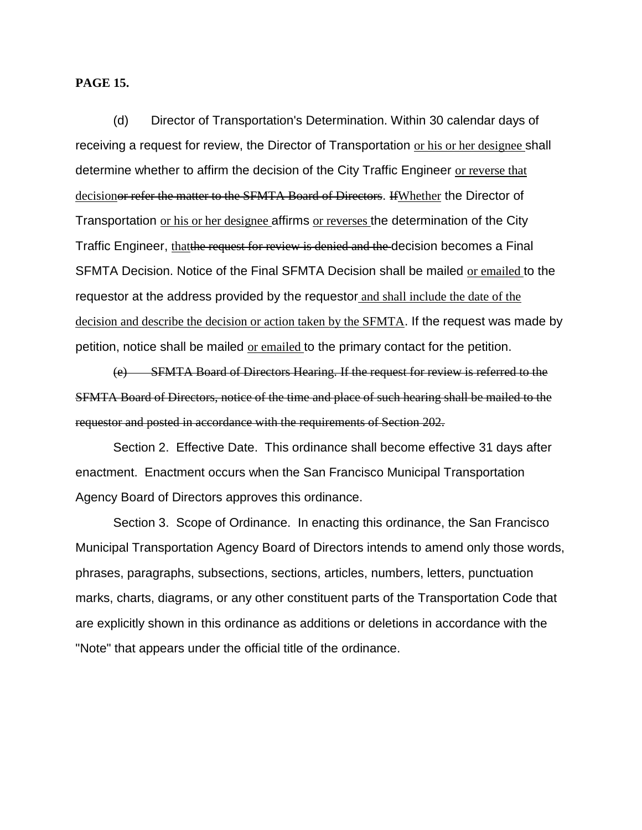#### **PAGE 15.**

(d) Director of Transportation's Determination. Within 30 calendar days of receiving a request for review, the Director of Transportation or his or her designee shall determine whether to affirm the decision of the City Traffic Engineer or reverse that decisionor refer the matter to the SFMTA Board of Directors. If Whether the Director of Transportation or his or her designee affirms or reverses the determination of the City Traffic Engineer, thatthe request for review is denied and the decision becomes a Final SFMTA Decision. Notice of the Final SFMTA Decision shall be mailed or emailed to the requestor at the address provided by the requestor and shall include the date of the decision and describe the decision or action taken by the SFMTA. If the request was made by petition, notice shall be mailed or emailed to the primary contact for the petition.

(e) SFMTA Board of Directors Hearing. If the request for review is referred to the SFMTA Board of Directors, notice of the time and place of such hearing shall be mailed to the requestor and posted in accordance with the requirements of Section 202.

Section 2. Effective Date. This ordinance shall become effective 31 days after enactment. Enactment occurs when the San Francisco Municipal Transportation Agency Board of Directors approves this ordinance.

Section 3. Scope of Ordinance. In enacting this ordinance, the San Francisco Municipal Transportation Agency Board of Directors intends to amend only those words, phrases, paragraphs, subsections, sections, articles, numbers, letters, punctuation marks, charts, diagrams, or any other constituent parts of the Transportation Code that are explicitly shown in this ordinance as additions or deletions in accordance with the "Note" that appears under the official title of the ordinance.